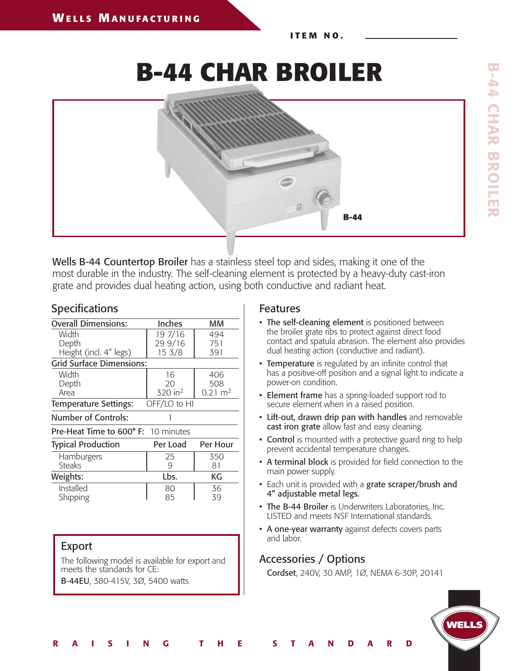**I T E M N O .**

**B-44 CHAR BROILER**



Wells B-44 Countertop Broiler has a stainless steel top and sides, making it one of the most durable in the industry. The self-cleaning element is protected by a heavy-duty cast-iron grate and provides dual heating action, using both conductive and radiant heat.

 $\overline{1}$ 

R A I S I N G T H E S T A N D A R D

| <b>Specifications</b> |  |
|-----------------------|--|
|-----------------------|--|

| <b>Overall Dimensions:</b>                   | <b>Inches</b>       | мм                 |  |  |  |  |  |  |
|----------------------------------------------|---------------------|--------------------|--|--|--|--|--|--|
| Width                                        | 19 7/16             | 494                |  |  |  |  |  |  |
| Depth                                        | 29 9/16             | 751                |  |  |  |  |  |  |
| Height (incl. 4" legs)                       | 15 <sub>3/8</sub>   | 391                |  |  |  |  |  |  |
| <b>Grid Surface Dimensions:</b>              |                     |                    |  |  |  |  |  |  |
| Width                                        | 16                  | 406                |  |  |  |  |  |  |
| Depth                                        | 20                  | 508                |  |  |  |  |  |  |
| Area                                         | 320 in <sup>2</sup> | $0.21 \text{ m}^2$ |  |  |  |  |  |  |
| <b>Temperature Settings:</b><br>OFF/LO to HI |                     |                    |  |  |  |  |  |  |
| Number of Controls:                          |                     |                    |  |  |  |  |  |  |
| <b>Pre-Heat Time to 600° F:</b> 10 minutes   |                     |                    |  |  |  |  |  |  |
| <b>Typical Production</b>                    | Per Load            | Per Hour           |  |  |  |  |  |  |
| Hamburgers                                   | 25                  | 350                |  |  |  |  |  |  |
| <b>Steaks</b>                                | 9                   | 81                 |  |  |  |  |  |  |
| Weights:                                     | Lbs.                | КG                 |  |  |  |  |  |  |
| Installed                                    | 80                  | 36                 |  |  |  |  |  |  |
| Shipping                                     | 85                  | 39                 |  |  |  |  |  |  |
|                                              |                     |                    |  |  |  |  |  |  |

## Export

The following model is available for export and meets the standards for CE: B-44EU, 380-415V, 3Ø, 5400 watts

## Features

- The self-cleaning element is positioned between the broiler grate ribs to protect against direct food contact and spatula abrasion. The element also provides dual heating action (conductive and radiant).
- Temperature is regulated by an infinite control that has a positive-off position and a signal light to indicate a power-on condition.
- Element frame has a spring-loaded support rod to secure element when in a raised position.
- Lift-out, drawn drip pan with handles and removable cast iron grate allow fast and easy cleaning.
- **Control** is mounted with a protective guard ring to help prevent accidental temperature changes.
- A terminal block is provided for field connection to the main power supply.
- Each unit is provided with a grate scraper/brush and 4" adjustable metal legs.
- The B-44 Broiler is Underwriters Laboratories, Inc. LISTED and meets NSF International standards.
- A one-year warranty against defects covers parts and labor.

## Accessories / Options

Cordset, 240V, 30 AMP, 1Ø, NEMA 6-30P, 20141

**WELLS**